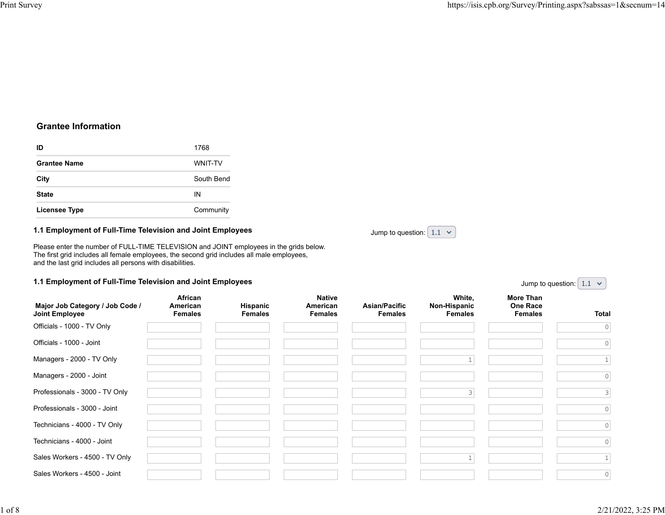# **Grantee Information**

| ID                   | 1768           |
|----------------------|----------------|
| <b>Grantee Name</b>  | <b>WNIT-TV</b> |
| City                 | South Bend     |
| <b>State</b>         | ΙN             |
| <b>Licensee Type</b> | Community      |

## **1.1 Employment of Full-Time Television and Joint Employees**

Please enter the number of FULL-TIME TELEVISION and JOINT employees in the grids below. The first grid includes all female employees, the second grid includes all male employees, and the last grid includes all persons with disabilities.

### **1.1 Employment of Full-Time Television and Joint Employees**

| Major Job Category / Job Code /<br>Joint Employee | African<br>American<br><b>Females</b> | <b>Hispanic</b><br><b>Females</b> | <b>Native</b><br>American<br><b>Females</b> | Asian/Pacific<br><b>Females</b> | White,<br>Non-Hispanic<br><b>Females</b> | <b>More Than</b><br><b>One Race</b><br><b>Females</b> | <b>Total</b> |
|---------------------------------------------------|---------------------------------------|-----------------------------------|---------------------------------------------|---------------------------------|------------------------------------------|-------------------------------------------------------|--------------|
| Officials - 1000 - TV Only                        |                                       |                                   |                                             |                                 |                                          |                                                       | 0            |
| Officials - 1000 - Joint                          |                                       |                                   |                                             |                                 |                                          |                                                       | $\circ$      |
| Managers - 2000 - TV Only                         |                                       |                                   |                                             |                                 |                                          |                                                       |              |
| Managers - 2000 - Joint                           |                                       |                                   |                                             |                                 |                                          |                                                       | $\circ$      |
| Professionals - 3000 - TV Only                    |                                       |                                   |                                             |                                 | 3                                        |                                                       | 3            |
| Professionals - 3000 - Joint                      |                                       |                                   |                                             |                                 |                                          |                                                       | $\circ$      |
| Technicians - 4000 - TV Only                      |                                       |                                   |                                             |                                 |                                          |                                                       | $\circ$      |
| Technicians - 4000 - Joint                        |                                       |                                   |                                             |                                 |                                          |                                                       | $\circ$      |
| Sales Workers - 4500 - TV Only                    |                                       |                                   |                                             |                                 |                                          |                                                       | $\mathbf{1}$ |
| Sales Workers - 4500 - Joint                      |                                       |                                   |                                             |                                 |                                          |                                                       | $\circ$      |

Jump to question:  $\begin{bmatrix} 1.1 \end{bmatrix}$ 

Jump to question:  $\left( 1.1 \right)$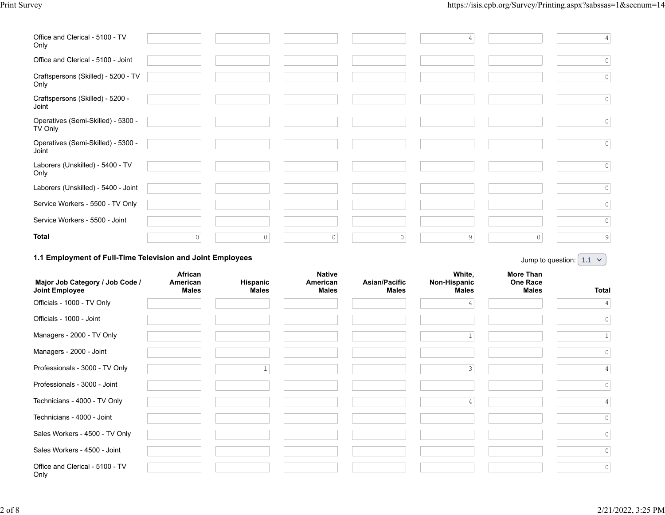| Office and Clerical - 5100 - TV<br>Only                           |         |         |   |   | $\overline{4}$ |                                             | $\vert 4 \vert$                                  |
|-------------------------------------------------------------------|---------|---------|---|---|----------------|---------------------------------------------|--------------------------------------------------|
| Office and Clerical - 5100 - Joint                                |         |         |   |   |                |                                             | $\circ$                                          |
| Craftspersons (Skilled) - 5200 - TV<br>Only                       |         |         |   |   |                |                                             | $\circ$                                          |
| Craftspersons (Skilled) - 5200 -<br>Joint                         |         |         |   |   |                |                                             | $\circ$                                          |
| Operatives (Semi-Skilled) - 5300 -<br>TV Only                     |         |         |   |   |                |                                             | $\circ$                                          |
| Operatives (Semi-Skilled) - 5300 -<br>Joint                       |         |         |   |   |                |                                             | $\circ$                                          |
| Laborers (Unskilled) - 5400 - TV<br>Only                          |         |         |   |   |                |                                             | $\circ$                                          |
| Laborers (Unskilled) - 5400 - Joint                               |         |         |   |   |                |                                             | $\circ$                                          |
| Service Workers - 5500 - TV Only                                  |         |         |   |   |                |                                             | $\circ$                                          |
| Service Workers - 5500 - Joint                                    |         |         |   |   |                |                                             | $\mathbb O$                                      |
| <b>Total</b>                                                      | $\circ$ | $\circ$ | 0 | 0 | 9              | $\circ$                                     | $\overline{9}$                                   |
| <b>1.4 Employment of Full Time Television and Joint Employees</b> |         |         |   |   |                | the company's company's company's company's | <b>Contract Contract</b><br>$\sim$ $\sim$ $\sim$ |

#### **1.1 Employment of Full-Time Television and Joint Employees**

Jump to question:  $\begin{bmatrix} 1.1 & \times \end{bmatrix}$ 

| Major Job Category / Job Code /<br>Joint Employee | African<br>American<br><b>Males</b> | Hispanic<br><b>Males</b> | <b>Native</b><br>American<br><b>Males</b> | Asian/Pacific<br><b>Males</b> | White,<br>Non-Hispanic<br><b>Males</b> | More Than<br><b>One Race</b><br><b>Males</b> | Total          |
|---------------------------------------------------|-------------------------------------|--------------------------|-------------------------------------------|-------------------------------|----------------------------------------|----------------------------------------------|----------------|
| Officials - 1000 - TV Only                        |                                     |                          |                                           |                               |                                        |                                              | 4              |
| Officials - 1000 - Joint                          |                                     |                          |                                           |                               |                                        |                                              | 0              |
| Managers - 2000 - TV Only                         |                                     |                          |                                           |                               |                                        |                                              |                |
| Managers - 2000 - Joint                           |                                     |                          |                                           |                               |                                        |                                              | 0              |
| Professionals - 3000 - TV Only                    |                                     |                          |                                           |                               | 3                                      |                                              |                |
| Professionals - 3000 - Joint                      |                                     |                          |                                           |                               |                                        |                                              | 0              |
| Technicians - 4000 - TV Only                      |                                     |                          |                                           |                               | 4                                      |                                              |                |
| Technicians - 4000 - Joint                        |                                     |                          |                                           |                               |                                        |                                              | $\overline{0}$ |
| Sales Workers - 4500 - TV Only                    |                                     |                          |                                           |                               |                                        |                                              | $\circ$        |
| Sales Workers - 4500 - Joint                      |                                     |                          |                                           |                               |                                        |                                              | $\circ$        |
| Office and Clerical - 5100 - TV<br>Only           |                                     |                          |                                           |                               |                                        |                                              | 0              |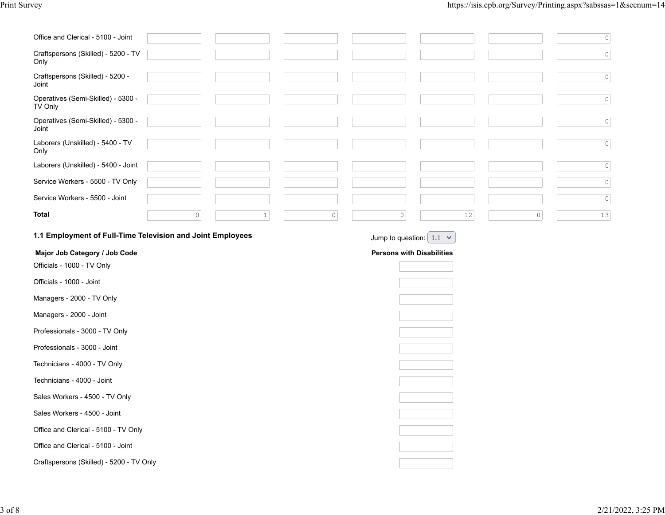| Office and Clerical - 5100 - Joint                          |         |       |                     |                                  |      |                     | $\circ$ |
|-------------------------------------------------------------|---------|-------|---------------------|----------------------------------|------|---------------------|---------|
| Craftspersons (Skilled) - 5200 - TV<br>Only                 |         |       |                     |                                  |      |                     | $\circ$ |
| Craftspersons (Skilled) - 5200 -<br>Joint                   |         |       |                     |                                  |      |                     | $\circ$ |
| Operatives (Semi-Skilled) - 5300 -<br>TV Only               |         |       |                     |                                  |      |                     | $\circ$ |
| Operatives (Semi-Skilled) - 5300 -<br>Joint                 |         |       |                     |                                  |      |                     | $\circ$ |
| Laborers (Unskilled) - 5400 - TV<br>Only                    |         |       |                     |                                  |      |                     | $\circ$ |
| Laborers (Unskilled) - 5400 - Joint                         |         |       |                     |                                  |      |                     | $\circ$ |
| Service Workers - 5500 - TV Only                            |         |       |                     |                                  |      |                     | $\circ$ |
| Service Workers - 5500 - Joint                              |         |       |                     |                                  |      |                     | $\circ$ |
| <b>Total</b>                                                | $\circ$ | $1\,$ | $\mathsf{O}\xspace$ | $\circ$                          | $12$ | $\mathsf{O}\xspace$ | 13      |
| 1.1 Employment of Full-Time Television and Joint Employees  |         |       |                     | Jump to question: $1.1 \times$   |      |                     |         |
|                                                             |         |       |                     |                                  |      |                     |         |
|                                                             |         |       |                     |                                  |      |                     |         |
| Major Job Category / Job Code<br>Officials - 1000 - TV Only |         |       |                     | <b>Persons with Disabilities</b> |      |                     |         |
| Officials - 1000 - Joint                                    |         |       |                     |                                  |      |                     |         |
| Managers - 2000 - TV Only                                   |         |       |                     |                                  |      |                     |         |
| Managers - 2000 - Joint                                     |         |       |                     |                                  |      |                     |         |
| Professionals - 3000 - TV Only                              |         |       |                     |                                  |      |                     |         |
| Professionals - 3000 - Joint                                |         |       |                     |                                  |      |                     |         |
| Technicians - 4000 - TV Only                                |         |       |                     |                                  |      |                     |         |
| Technicians - 4000 - Joint                                  |         |       |                     |                                  |      |                     |         |
| Sales Workers - 4500 - TV Only                              |         |       |                     |                                  |      |                     |         |
| Sales Workers - 4500 - Joint                                |         |       |                     |                                  |      |                     |         |
| Office and Clerical - 5100 - TV Only                        |         |       |                     |                                  |      |                     |         |
| Office and Clerical - 5100 - Joint                          |         |       |                     |                                  |      |                     |         |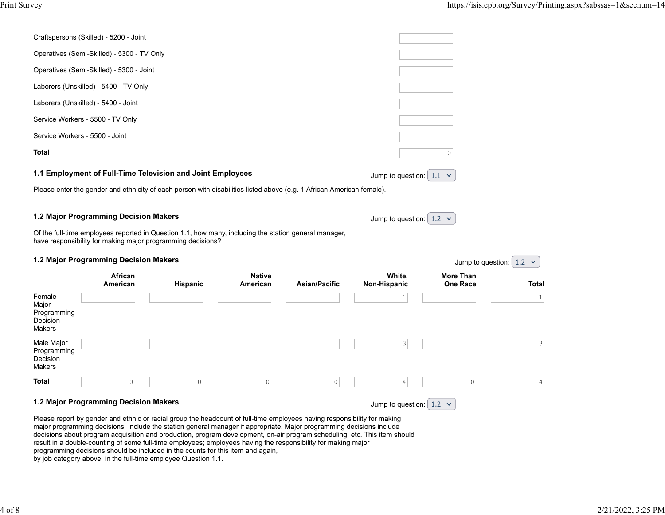|                                                      | Craftspersons (Skilled) - 5200 - Joint                                         |                                                                                                                                                                                     |                           |                      |                                |                                     |                                |
|------------------------------------------------------|--------------------------------------------------------------------------------|-------------------------------------------------------------------------------------------------------------------------------------------------------------------------------------|---------------------------|----------------------|--------------------------------|-------------------------------------|--------------------------------|
|                                                      | Operatives (Semi-Skilled) - 5300 - TV Only                                     |                                                                                                                                                                                     |                           |                      |                                |                                     |                                |
|                                                      | Operatives (Semi-Skilled) - 5300 - Joint                                       |                                                                                                                                                                                     |                           |                      |                                |                                     |                                |
|                                                      | Laborers (Unskilled) - 5400 - TV Only                                          |                                                                                                                                                                                     |                           |                      |                                |                                     |                                |
|                                                      | Laborers (Unskilled) - 5400 - Joint                                            |                                                                                                                                                                                     |                           |                      |                                |                                     |                                |
|                                                      | Service Workers - 5500 - TV Only                                               |                                                                                                                                                                                     |                           |                      |                                |                                     |                                |
| Service Workers - 5500 - Joint                       |                                                                                |                                                                                                                                                                                     |                           |                      |                                |                                     |                                |
| Total                                                |                                                                                |                                                                                                                                                                                     |                           |                      |                                | $\Omega$                            |                                |
|                                                      |                                                                                | 1.1 Employment of Full-Time Television and Joint Employees<br>Please enter the gender and ethnicity of each person with disabilities listed above (e.g. 1 African American female). |                           |                      | Jump to question: $1.1 \times$ |                                     |                                |
|                                                      | 1.2 Major Programming Decision Makers<br>1.2 Major Programming Decision Makers | Of the full-time employees reported in Question 1.1, how many, including the station general manager,<br>have responsibility for making major programming decisions?                |                           |                      | Jump to question: $1.2 \times$ |                                     | Jump to question: $1.2 \times$ |
|                                                      | African<br>American                                                            | <b>Hispanic</b>                                                                                                                                                                     | <b>Native</b><br>American | <b>Asian/Pacific</b> | White,<br>Non-Hispanic         | <b>More Than</b><br><b>One Race</b> | Total                          |
| Female<br>Major<br>Programming<br>Decision<br>Makers |                                                                                |                                                                                                                                                                                     |                           |                      | $\mathbf{1}$                   |                                     | $\mathbf{1}$                   |
| Male Major<br>Programming<br>Decision<br>Makers      |                                                                                |                                                                                                                                                                                     |                           |                      | 3                              |                                     | 3                              |
| Total                                                | $\mathsf{O}\xspace$                                                            | $\circ$                                                                                                                                                                             | $\circ$                   | $\circ$              | $\vert 4 \vert$                | 0                                   | $\overline{4}$                 |
| 1.2 Major Programming Decision Makers                |                                                                                |                                                                                                                                                                                     |                           |                      |                                |                                     |                                |

Please report by gender and ethnic or racial group the headcount of full-time employees having responsibility for making major programming decisions. Include the station general manager if appropriate. Major programming decisions include decisions about program acquisition and production, program development, on-air program scheduling, etc. This item should result in a double-counting of some full-time employees; employees having the responsibility for making major programming decisions should be included in the counts for this item and again,

by job category above, in the full-time employee Question 1.1.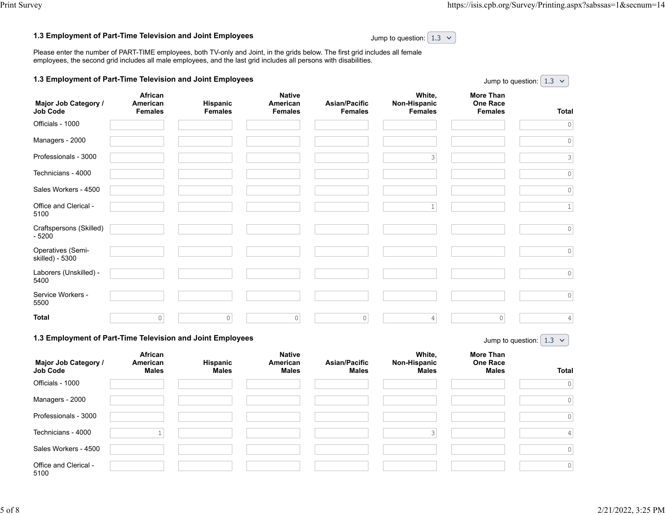Jump to question:  $\left( 1.3 \right)$   $\vee$ 

#### **1.3 Employment of Part-Time Television and Joint Employees**

Jump to question:  $\begin{array}{|c|c|c|c|c|}\n1.3 & \times \end{array}$ 

Please enter the number of PART-TIME employees, both TV-only and Joint, in the grids below. The first grid includes all female employees, the second grid includes all male employees, and the last grid includes all persons with disabilities.

| 1.3 Employment of Part-Time Television and Joint Employees |  |
|------------------------------------------------------------|--|
|------------------------------------------------------------|--|

| Major Job Category /<br><b>Job Code</b> | African<br>American<br><b>Females</b> | Hispanic<br><b>Females</b> | <b>Native</b><br>American<br><b>Females</b> | Asian/Pacific<br><b>Females</b> | White,<br>Non-Hispanic<br><b>Females</b> | <b>More Than</b><br>One Race<br><b>Females</b> | <b>Total</b> |
|-----------------------------------------|---------------------------------------|----------------------------|---------------------------------------------|---------------------------------|------------------------------------------|------------------------------------------------|--------------|
| Officials - 1000                        |                                       |                            |                                             |                                 |                                          |                                                | $\circ$      |
| Managers - 2000                         |                                       |                            |                                             |                                 |                                          |                                                | $\mathbb O$  |
| Professionals - 3000                    |                                       |                            |                                             |                                 | 3                                        |                                                | 3            |
| Technicians - 4000                      |                                       |                            |                                             |                                 |                                          |                                                | $\circ$      |
| Sales Workers - 4500                    |                                       |                            |                                             |                                 |                                          |                                                | $\circ$      |
| Office and Clerical -<br>5100           |                                       |                            |                                             |                                 | $\mathbf{1}$                             |                                                | $\mathbf{1}$ |
| Craftspersons (Skilled)<br>$-5200$      |                                       |                            |                                             |                                 |                                          |                                                | $\circ$      |
| Operatives (Semi-<br>skilled) - 5300    |                                       |                            |                                             |                                 |                                          |                                                | $\circ$      |
| Laborers (Unskilled) -<br>5400          |                                       |                            |                                             |                                 |                                          |                                                | $\circ$      |
| Service Workers -<br>5500               |                                       |                            |                                             |                                 |                                          |                                                | $\circ$      |
| <b>Total</b>                            | $\circ$                               | $\circ$                    | $\circ$                                     | $\circ$                         | 4                                        | $\circ$                                        | 4            |

#### **1.3 Employment of Part-Time Television and Joint Employees**

Jump to question:  $\left| \begin{array}{cc} 1.3 \end{array} \right|$ 

| Major Job Category /<br><b>Job Code</b> | African<br>American<br><b>Males</b> | Hispanic<br><b>Males</b> | <b>Native</b><br>American<br><b>Males</b> | <b>Asian/Pacific</b><br><b>Males</b> | White,<br>Non-Hispanic<br><b>Males</b> | More Than<br><b>One Race</b><br><b>Males</b> | <b>Total</b> |
|-----------------------------------------|-------------------------------------|--------------------------|-------------------------------------------|--------------------------------------|----------------------------------------|----------------------------------------------|--------------|
| Officials - 1000                        |                                     |                          |                                           |                                      |                                        |                                              | 0            |
| Managers - 2000                         |                                     |                          |                                           |                                      |                                        |                                              | 0            |
| Professionals - 3000                    |                                     |                          |                                           |                                      |                                        |                                              | 0            |
| Technicians - 4000                      |                                     |                          |                                           |                                      | $\mathcal{R}$                          |                                              |              |
| Sales Workers - 4500                    |                                     |                          |                                           |                                      |                                        |                                              | 0            |
| Office and Clerical -<br>5100           |                                     |                          |                                           |                                      |                                        |                                              | 0            |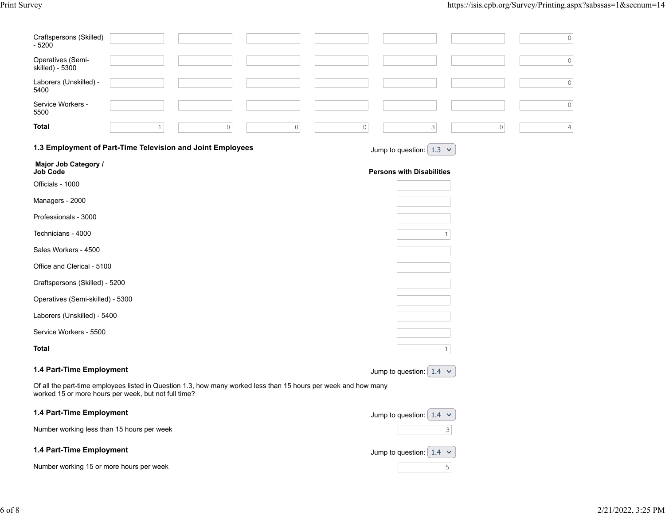| Craftspersons (Skilled)<br>$-5200$                                                                                                                                      | $\mathbb O$                                    |
|-------------------------------------------------------------------------------------------------------------------------------------------------------------------------|------------------------------------------------|
| Operatives (Semi-<br>skilled) - 5300                                                                                                                                    | $\mathbb O$                                    |
| Laborers (Unskilled) -<br>5400                                                                                                                                          | $\mathbb O$                                    |
| Service Workers -<br>5500                                                                                                                                               | $\mathbb O$                                    |
| Total<br>$\circ$<br>$\mathbb O$<br>$\mathbf{1}$                                                                                                                         | 0<br>$\mathbf{3}$<br>$\circ$<br>$\overline{4}$ |
| 1.3 Employment of Part-Time Television and Joint Employees                                                                                                              | Jump to question: $1.3 \times$                 |
| Major Job Category /<br><b>Job Code</b>                                                                                                                                 | <b>Persons with Disabilities</b>               |
| Officials - 1000                                                                                                                                                        |                                                |
| Managers - 2000                                                                                                                                                         |                                                |
| Professionals - 3000                                                                                                                                                    |                                                |
| Technicians - 4000                                                                                                                                                      | $\mathbf{1}$                                   |
| Sales Workers - 4500                                                                                                                                                    |                                                |
| Office and Clerical - 5100                                                                                                                                              |                                                |
| Craftspersons (Skilled) - 5200                                                                                                                                          |                                                |
| Operatives (Semi-skilled) - 5300                                                                                                                                        |                                                |
| Laborers (Unskilled) - 5400                                                                                                                                             |                                                |
| Service Workers - 5500                                                                                                                                                  |                                                |
| Total                                                                                                                                                                   | $\mathbf{1}$                                   |
| 1.4 Part-Time Employment                                                                                                                                                | Jump to question: $1.4 \times$                 |
| Of all the part-time employees listed in Question 1.3, how many worked less than 15 hours per week and how many<br>worked 15 or more hours per week, but not full time? |                                                |
| 1.4 Part-Time Employment                                                                                                                                                | Jump to question: $1.4 \times$                 |
| Number working less than 15 hours per week                                                                                                                              | 3                                              |
| 1.4 Part-Time Employment                                                                                                                                                | Jump to question: $1.4 \times$                 |
| Number working 15 or more hours per week                                                                                                                                | 5 <sup>1</sup>                                 |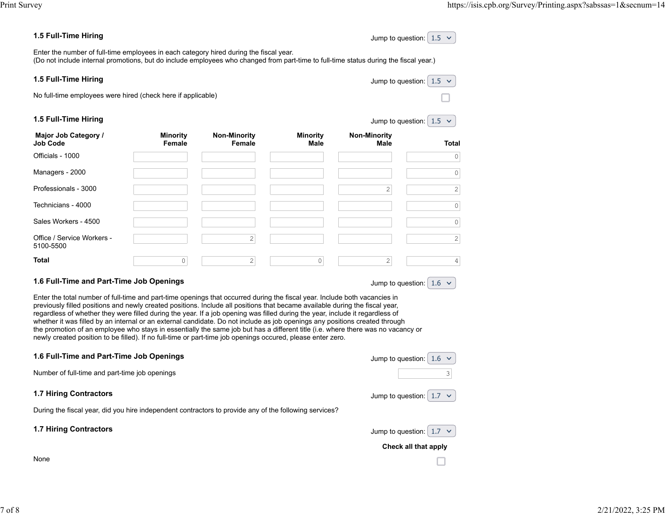### **1.5 Full-Time Hiring**

| Jump to question: $1.5 \times$ |  |  |
|--------------------------------|--|--|
|--------------------------------|--|--|

Jump to question:  $1.5 \sim$ 

Jump to question:  $1.5 \times$ 

Enter the number of full-time employees in each category hired during the fiscal year. (Do not include internal promotions, but do include employees who changed from part-time to full-time status during the fiscal year.)

#### **1.5 Full-Time Hiring**

No full-time employees were hired (check here if applicable)

#### **1.5 Full-Time Hiring**

| Major Job Category /<br>Job Code        | <b>Minority</b><br>Female | <b>Non-Minority</b><br>Female | <b>Minority</b><br><b>Male</b> | <b>Non-Minority</b><br>Male | <b>Total</b>   |
|-----------------------------------------|---------------------------|-------------------------------|--------------------------------|-----------------------------|----------------|
| Officials - 1000                        |                           |                               |                                |                             | $\circ$        |
| Managers - 2000                         |                           |                               |                                |                             | $\circ$        |
| Professionals - 3000                    |                           |                               |                                | 2                           | $\overline{c}$ |
| Technicians - 4000                      |                           |                               |                                |                             | $\circ$        |
| Sales Workers - 4500                    |                           |                               |                                |                             | $\circ$        |
| Office / Service Workers -<br>5100-5500 |                           | 2                             |                                |                             | $\sqrt{2}$     |
| Total                                   | 0                         | 2                             | 0                              | 2                           | $\overline{4}$ |

## **1.6 Full-Time and Part-Time Job Openings**

Jump to question:  $1.6 \times$ 

Enter the total number of full-time and part-time openings that occurred during the fiscal year. Include both vacancies in previously filled positions and newly created positions. Include all positions that became available during the fiscal year, regardless of whether they were filled during the year. If a job opening was filled during the year, include it regardless of whether it was filled by an internal or an external candidate. Do not include as job openings any positions created through the promotion of an employee who stays in essentially the same job but has a different title (i.e. where there was no vacancy or newly created position to be filled). If no full-time or part-time job openings occured, please enter zero.

| 1.6 Full-Time and Part-Time Job Openings                                                               | Jump to question:              |
|--------------------------------------------------------------------------------------------------------|--------------------------------|
| Number of full-time and part-time job openings                                                         | 3                              |
| <b>1.7 Hiring Contractors</b>                                                                          | Jump to question: $1.7 \times$ |
| During the fiscal year, did you hire independent contractors to provide any of the following services? |                                |
| <b>1.7 Hiring Contractors</b>                                                                          | Jump to question: $\mid$ 1.7   |
|                                                                                                        | Check all that apply           |
| None                                                                                                   |                                |